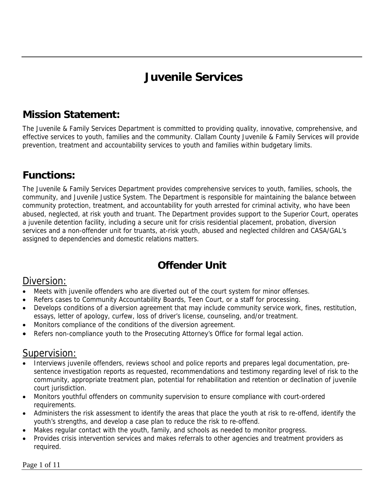# **Juvenile Services**

### **Mission Statement:**

The Juvenile & Family Services Department is committed to providing quality, innovative, comprehensive, and effective services to youth, families and the community. Clallam County Juvenile & Family Services will provide prevention, treatment and accountability services to youth and families within budgetary limits.

## **Functions:**

The Juvenile & Family Services Department provides comprehensive services to youth, families, schools, the community, and Juvenile Justice System. The Department is responsible for maintaining the balance between community protection, treatment, and accountability for youth arrested for criminal activity, who have been abused, neglected, at risk youth and truant. The Department provides support to the Superior Court, operates a juvenile detention facility, including a secure unit for crisis residential placement, probation, diversion services and a non-offender unit for truants, at-risk youth, abused and neglected children and CASA/GAL's assigned to dependencies and domestic relations matters.

### **Offender Unit**

#### Diversion:

- Meets with juvenile offenders who are diverted out of the court system for minor offenses.
- Refers cases to Community Accountability Boards, Teen Court, or a staff for processing.
- Develops conditions of a diversion agreement that may include community service work, fines, restitution, essays, letter of apology, curfew, loss of driver's license, counseling, and/or treatment.
- Monitors compliance of the conditions of the diversion agreement.
- Refers non-compliance youth to the Prosecuting Attorney's Office for formal legal action.

#### Supervision:

- Interviews juvenile offenders, reviews school and police reports and prepares legal documentation, presentence investigation reports as requested, recommendations and testimony regarding level of risk to the community, appropriate treatment plan, potential for rehabilitation and retention or declination of juvenile court jurisdiction.
- Monitors youthful offenders on community supervision to ensure compliance with court-ordered requirements.
- Administers the risk assessment to identify the areas that place the youth at risk to re-offend, identify the youth's strengths, and develop a case plan to reduce the risk to re-offend.
- Makes regular contact with the youth, family, and schools as needed to monitor progress.
- Provides crisis intervention services and makes referrals to other agencies and treatment providers as required.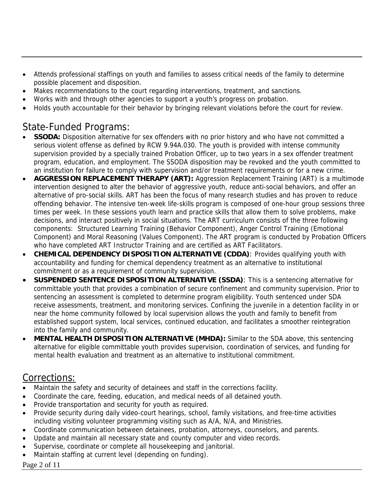- Attends professional staffings on youth and families to assess critical needs of the family to determine possible placement and disposition.
- Makes recommendations to the court regarding interventions, treatment, and sanctions.
- Works with and through other agencies to support a youth's progress on probation.
- Holds youth accountable for their behavior by bringing relevant violations before the court for review.

#### State-Funded Programs:

- **SSODA:** Disposition alternative for sex offenders with no prior history and who have not committed a serious violent offense as defined by RCW 9.94A.030. The youth is provided with intense community supervision provided by a specially trained Probation Officer, up to two years in a sex offender treatment program, education, and employment. The SSODA disposition may be revoked and the youth committed to an institution for failure to comply with supervision and/or treatment requirements or for a new crime.
- **AGGRESSION REPLACEMENT THERAPY (ART):** Aggression Replacement Training (ART) is a multimode intervention designed to alter the behavior of aggressive youth, reduce anti-social behaviors, and offer an alternative of pro-social skills. ART has been the focus of many research studies and has proven to reduce offending behavior. The intensive ten-week life-skills program is composed of one-hour group sessions three times per week. In these sessions youth learn and practice skills that allow them to solve problems, make decisions, and interact positively in social situations. The ART curriculum consists of the three following components: Structured Learning Training (Behavior Component), Anger Control Training (Emotional Component) and Moral Reasoning (Values Component). The ART program is conducted by Probation Officers who have completed ART Instructor Training and are certified as ART Facilitators.
- **CHEMICAL DEPENDENCY DISPOSITION ALTERNATIVE (CDDA)**: Provides qualifying youth with accountability and funding for chemical dependency treatment as an alternative to institutional commitment or as a requirement of community supervision.
- **SUSPENDED SENTENCE DISPOSITION ALTERNATIVE (SSDA)**: This is a sentencing alternative for committable youth that provides a combination of secure confinement and community supervision. Prior to sentencing an assessment is completed to determine program eligibility. Youth sentenced under SDA receive assessments, treatment, and monitoring services. Confining the juvenile in a detention facility in or near the home community followed by local supervision allows the youth and family to benefit from established support system, local services, continued education, and facilitates a smoother reintegration into the family and community.
- **MENTAL HEALTH DISPOSITION ALTERNATIVE (MHDA):** Similar to the SDA above, this sentencing alternative for eligible committable youth provides supervision, coordination of services, and funding for mental health evaluation and treatment as an alternative to institutional commitment.

#### Corrections:

- Maintain the safety and security of detainees and staff in the corrections facility.
- Coordinate the care, feeding, education, and medical needs of all detained youth.
- Provide transportation and security for youth as required.
- Provide security during daily video-court hearings, school, family visitations, and free-time activities including visiting volunteer programming visiting such as A/A, N/A, and Ministries.
- Coordinate communication between detainees, probation, attorneys, counselors, and parents.
- Update and maintain all necessary state and county computer and video records.
- Supervise, coordinate or complete all housekeeping and janitorial.
- Maintain staffing at current level (depending on funding).

#### Page 2 of 11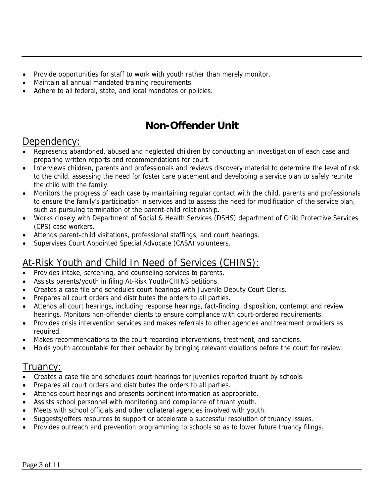- Provide opportunities for staff to work with youth rather than merely monitor.
- Maintain all annual mandated training requirements.
- Adhere to all federal, state, and local mandates or policies.

#### **Non-Offender Unit**

#### Dependency:

- Represents abandoned, abused and neglected children by conducting an investigation of each case and preparing written reports and recommendations for court.
- Interviews children, parents and professionals and reviews discovery material to determine the level of risk to the child, assessing the need for foster care placement and developing a service plan to safely reunite the child with the family.
- Monitors the progress of each case by maintaining regular contact with the child, parents and professionals to ensure the family's participation in services and to assess the need for modification of the service plan, such as pursuing termination of the parent-child relationship.
- Works closely with Department of Social & Health Services (DSHS) department of Child Protective Services (CPS) case workers.
- Attends parent-child visitations, professional staffings, and court hearings.
- Supervises Court Appointed Special Advocate (CASA) volunteers.

#### At-Risk Youth and Child In Need of Services (CHINS):

- Provides intake, screening, and counseling services to parents.
- Assists parents/youth in filing At-Risk Youth/CHINS petitions.
- Creates a case file and schedules court hearings with Juvenile Deputy Court Clerks.
- Prepares all court orders and distributes the orders to all parties.
- Attends all court hearings, including response hearings, fact-finding, disposition, contempt and review hearings. Monitors non-offender clients to ensure compliance with court-ordered requirements.
- Provides crisis intervention services and makes referrals to other agencies and treatment providers as required.
- Makes recommendations to the court regarding interventions, treatment, and sanctions.
- Holds youth accountable for their behavior by bringing relevant violations before the court for review.

#### I ruancy:

- Creates a case file and schedules court hearings for juveniles reported truant by schools.
- Prepares all court orders and distributes the orders to all parties.
- Attends court hearings and presents pertinent information as appropriate.
- Assists school personnel with monitoring and compliance of truant youth.
- Meets with school officials and other collateral agencies involved with youth.
- Suggests/offers resources to support or accelerate a successful resolution of truancy issues.
- Provides outreach and prevention programming to schools so as to lower future truancy filings.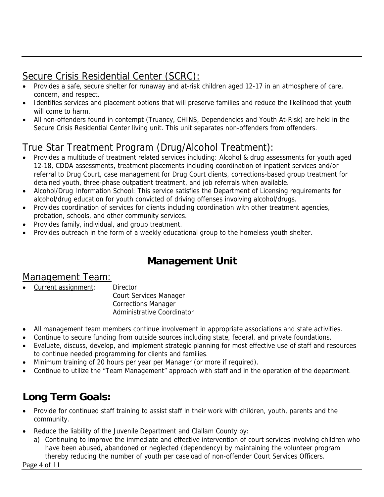### Secure Crisis Residential Center (SCRC):

- Provides a safe, secure shelter for runaway and at-risk children aged 12-17 in an atmosphere of care, concern, and respect.
- Identifies services and placement options that will preserve families and reduce the likelihood that youth will come to harm.
- All non-offenders found in contempt (Truancy, CHINS, Dependencies and Youth At-Risk) are held in the Secure Crisis Residential Center living unit. This unit separates non-offenders from offenders.

# True Star Treatment Program (Drug/Alcohol Treatment):

- Provides a multitude of treatment related services including: Alcohol & drug assessments for youth aged 12-18, CDDA assessments, treatment placements including coordination of inpatient services and/or referral to Drug Court, case management for Drug Court clients, corrections-based group treatment for detained youth, three-phase outpatient treatment, and job referrals when available.
- Alcohol/Drug Information School: This service satisfies the Department of Licensing requirements for alcohol/drug education for youth convicted of driving offenses involving alcohol/drugs.
- Provides coordination of services for clients including coordination with other treatment agencies, probation, schools, and other community services.
- Provides family, individual, and group treatment.
- Provides outreach in the form of a weekly educational group to the homeless youth shelter.

### **Management Unit**

#### Management Team:

Current assignment: Director

 Court Services Manager Corrections Manager Administrative Coordinator

- All management team members continue involvement in appropriate associations and state activities.
- Continue to secure funding from outside sources including state, federal, and private foundations.
- Evaluate, discuss, develop, and implement strategic planning for most effective use of staff and resources to continue needed programming for clients and families.
- Minimum training of 20 hours per year per Manager (or more if required).
- Continue to utilize the "Team Management" approach with staff and in the operation of the department.

## **Long Term Goals:**

- Provide for continued staff training to assist staff in their work with children, youth, parents and the community.
- Reduce the liability of the Juvenile Department and Clallam County by:
	- a) Continuing to improve the immediate and effective intervention of court services involving children who have been abused, abandoned or neglected (dependency) by maintaining the volunteer program thereby reducing the number of youth per caseload of non-offender Court Services Officers.

Page 4 of 11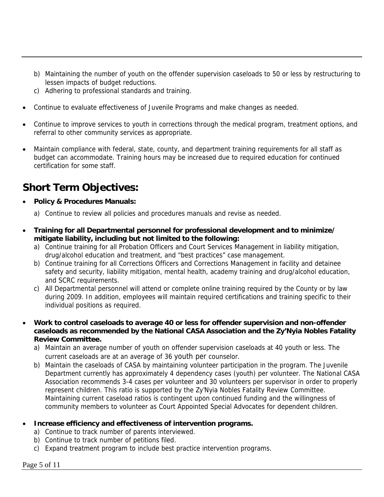- b) Maintaining the number of youth on the offender supervision caseloads to 50 or less by restructuring to lessen impacts of budget reductions.
- c) Adhering to professional standards and training.
- Continue to evaluate effectiveness of Juvenile Programs and make changes as needed.
- Continue to improve services to youth in corrections through the medical program, treatment options, and referral to other community services as appropriate.
- Maintain compliance with federal, state, county, and department training requirements for all staff as budget can accommodate. Training hours may be increased due to required education for continued certification for some staff.

### **Short Term Objectives:**

- **Policy & Procedures Manuals:** 
	- a) Continue to review all policies and procedures manuals and revise as needed.
- **Training for all Departmental personnel for professional development and to minimize/ mitigate liability, including but not limited to the following:** 
	- a) Continue training for all Probation Officers and Court Services Management in liability mitigation, drug/alcohol education and treatment, and "best practices" case management.
	- b) Continue training for all Corrections Officers and Corrections Management in facility and detainee safety and security, liability mitigation, mental health, academy training and drug/alcohol education, and SCRC requirements.
	- c) All Departmental personnel will attend or complete online training required by the County or by law during 2009. In addition, employees will maintain required certifications and training specific to their individual positions as required.
- **Work to control caseloads to average 40 or less for offender supervision and non-offender caseloads as recommended by the National CASA Association and the Zy'Nyia Nobles Fatality Review Committee.** 
	- a) Maintain an average number of youth on offender supervision caseloads at 40 youth or less. The current caseloads are at an average of 36 youth per counselor.
	- b) Maintain the caseloads of CASA by maintaining volunteer participation in the program. The Juvenile Department currently has approximately 4 dependency cases (youth) per volunteer. The National CASA Association recommends 3-4 cases per volunteer and 30 volunteers per supervisor in order to properly represent children. This ratio is supported by the Zy'Nyia Nobles Fatality Review Committee. Maintaining current caseload ratios is contingent upon continued funding and the willingness of community members to volunteer as Court Appointed Special Advocates for dependent children.

#### • **Increase efficiency and effectiveness of intervention programs.**

- a) Continue to track number of parents interviewed.
- b) Continue to track number of petitions filed.
- c) Expand treatment program to include best practice intervention programs.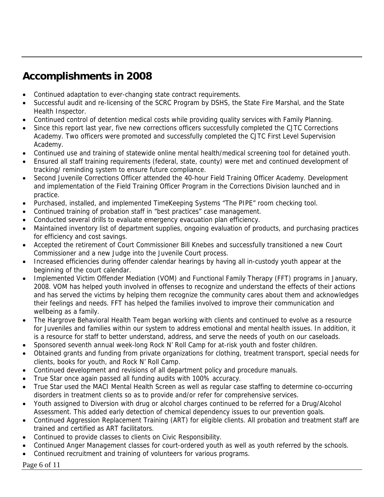## **Accomplishments in 2008**

- Continued adaptation to ever-changing state contract requirements.
- Successful audit and re-licensing of the SCRC Program by DSHS, the State Fire Marshal, and the State Health Inspector.
- Continued control of detention medical costs while providing quality services with Family Planning.
- Since this report last year, five new corrections officers successfully completed the CJTC Corrections Academy. Two officers were promoted and successfully completed the CJTC First Level Supervision Academy.
- Continued use and training of statewide online mental health/medical screening tool for detained youth.
- Ensured all staff training requirements (federal, state, county) were met and continued development of tracking/ reminding system to ensure future compliance.
- Second Juvenile Corrections Officer attended the 40-hour Field Training Officer Academy. Development and implementation of the Field Training Officer Program in the Corrections Division launched and in practice.
- Purchased, installed, and implemented TimeKeeping Systems "The PIPE" room checking tool.
- Continued training of probation staff in "best practices" case management.
- Conducted several drills to evaluate emergency evacuation plan efficiency.
- Maintained inventory list of department supplies, ongoing evaluation of products, and purchasing practices for efficiency and cost savings.
- Accepted the retirement of Court Commissioner Bill Knebes and successfully transitioned a new Court Commissioner and a new Judge into the Juvenile Court process.
- Increased efficiencies during offender calendar hearings by having all in-custody youth appear at the beginning of the court calendar.
- Implemented Victim Offender Mediation (VOM) and Functional Family Therapy (FFT) programs in January, 2008. VOM has helped youth involved in offenses to recognize and understand the effects of their actions and has served the victims by helping them recognize the community cares about them and acknowledges their feelings and needs. FFT has helped the families involved to improve their communication and wellbeing as a family.
- The Hargrove Behavioral Health Team began working with clients and continued to evolve as a resource for Juveniles and families within our system to address emotional and mental health issues. In addition, it is a resource for staff to better understand, address, and serve the needs of youth on our caseloads.
- Sponsored seventh annual week-long Rock N' Roll Camp for at-risk youth and foster children.
- Obtained grants and funding from private organizations for clothing, treatment transport, special needs for clients, books for youth, and Rock N' Roll Camp.
- Continued development and revisions of all department policy and procedure manuals.
- True Star once again passed all funding audits with 100% accuracy.
- True Star used the MACI Mental Health Screen as well as regular case staffing to determine co-occurring disorders in treatment clients so as to provide and/or refer for comprehensive services.
- Youth assigned to Diversion with drug or alcohol charges continued to be referred for a Drug/Alcohol Assessment. This added early detection of chemical dependency issues to our prevention goals.
- Continued Aggression Replacement Training (ART) for eligible clients. All probation and treatment staff are trained and certified as ART facilitators.
- Continued to provide classes to clients on Civic Responsibility.
- Continued Anger Management classes for court-ordered youth as well as youth referred by the schools.
- Continued recruitment and training of volunteers for various programs.

Page 6 of 11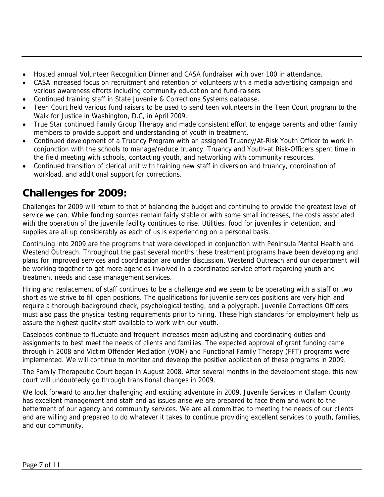- Hosted annual Volunteer Recognition Dinner and CASA fundraiser with over 100 in attendance.
- CASA increased focus on recruitment and retention of volunteers with a media advertising campaign and various awareness efforts including community education and fund-raisers.
- Continued training staff in State Juvenile & Corrections Systems database.
- Teen Court held various fund raisers to be used to send teen volunteers in the Teen Court program to the Walk for Justice in Washington, D.C, in April 2009.
- True Star continued Family Group Therapy and made consistent effort to engage parents and other family members to provide support and understanding of youth in treatment.
- Continued development of a Truancy Program with an assigned Truancy/At-Risk Youth Officer to work in conjunction with the schools to manage/reduce truancy. Truancy and Youth-at Risk-Officers spent time in the field meeting with schools, contacting youth, and networking with community resources.
- Continued transition of clerical unit with training new staff in diversion and truancy, coordination of workload, and additional support for corrections.

### **Challenges for 2009:**

Challenges for 2009 will return to that of balancing the budget and continuing to provide the greatest level of service we can. While funding sources remain fairly stable or with some small increases, the costs associated with the operation of the juvenile facility continues to rise. Utilities, food for juveniles in detention, and supplies are all up considerably as each of us is experiencing on a personal basis.

Continuing into 2009 are the programs that were developed in conjunction with Peninsula Mental Health and Westend Outreach. Throughout the past several months these treatment programs have been developing and plans for improved services and coordination are under discussion. Westend Outreach and our department will be working together to get more agencies involved in a coordinated service effort regarding youth and treatment needs and case management services.

Hiring and replacement of staff continues to be a challenge and we seem to be operating with a staff or two short as we strive to fill open positions. The qualifications for juvenile services positions are very high and require a thorough background check, psychological testing, and a polygraph. Juvenile Corrections Officers must also pass the physical testing requirements prior to hiring. These high standards for employment help us assure the highest quality staff available to work with our youth.

Caseloads continue to fluctuate and frequent increases mean adjusting and coordinating duties and assignments to best meet the needs of clients and families. The expected approval of grant funding came through in 2008 and Victim Offender Mediation (VOM) and Functional Family Therapy (FFT) programs were implemented. We will continue to monitor and develop the positive application of these programs in 2009.

The Family Therapeutic Court began in August 2008. After several months in the development stage, this new court will undoubtedly go through transitional changes in 2009.

We look forward to another challenging and exciting adventure in 2009. Juvenile Services in Clallam County has excellent management and staff and as issues arise we are prepared to face them and work to the betterment of our agency and community services. We are all committed to meeting the needs of our clients and are willing and prepared to do whatever it takes to continue providing excellent services to youth, families, and our community.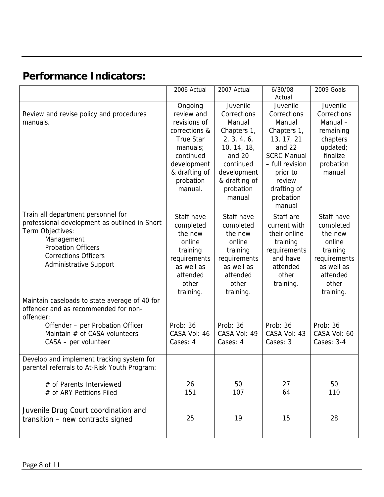# **Performance Indicators:**

|                                               | 2006 Actual      | 2007 Actual   | 6/30/08            | 2009 Goals   |
|-----------------------------------------------|------------------|---------------|--------------------|--------------|
|                                               |                  |               | Actual             |              |
|                                               | Ongoing          | Juvenile      | Juvenile           | Juvenile     |
| Review and revise policy and procedures       | review and       | Corrections   | Corrections        | Corrections  |
| manuals.                                      | revisions of     | Manual        | Manual             | Manual-      |
|                                               | corrections &    | Chapters 1,   | Chapters 1,        | remaining    |
|                                               | <b>True Star</b> | 2, 3, 4, 6,   | 13, 17, 21         | chapters     |
|                                               | manuals;         | 10, 14, 18,   | and 22             | updated;     |
|                                               | continued        | and 20        | <b>SCRC Manual</b> | finalize     |
|                                               | development      | continued     | - full revision    | probation    |
|                                               | & drafting of    | development   | prior to           | manual       |
|                                               | probation        | & drafting of | review             |              |
|                                               | manual.          | probation     | drafting of        |              |
|                                               |                  | manual        | probation          |              |
|                                               |                  |               | manual             |              |
| Train all department personnel for            | Staff have       | Staff have    | Staff are          | Staff have   |
| professional development as outlined in Short | completed        | completed     | current with       | completed    |
| Term Objectives:                              | the new          | the new       | their online       | the new      |
| Management                                    | online           | online        | training           | online       |
| <b>Probation Officers</b>                     | training         | training      | requirements       | training     |
| <b>Corrections Officers</b>                   | requirements     | requirements  | and have           | requirements |
| <b>Administrative Support</b>                 | as well as       | as well as    | attended           | as well as   |
|                                               | attended         | attended      | other              | attended     |
|                                               | other            | other         | training.          | other        |
|                                               | training.        | training.     |                    | training.    |
| Maintain caseloads to state average of 40 for |                  |               |                    |              |
| offender and as recommended for non-          |                  |               |                    |              |
| offender:                                     |                  |               |                    |              |
| Offender - per Probation Officer              | Prob: 36         | Prob: 36      | Prob: 36           | Prob: 36     |
| Maintain # of CASA volunteers                 | CASA Vol: 46     | CASA Vol: 49  | CASA Vol: 43       | CASA Vol: 60 |
| CASA - per volunteer                          | Cases: 4         | Cases: 4      | Cases: 3           | Cases: 3-4   |
|                                               |                  |               |                    |              |
| Develop and implement tracking system for     |                  |               |                    |              |
| parental referrals to At-Risk Youth Program:  |                  |               |                    |              |
|                                               |                  |               |                    |              |
| # of Parents Interviewed                      | 26               | 50            | 27                 | 50           |
| # of ARY Petitions Filed                      | 151              | 107           | 64                 | 110          |
|                                               |                  |               |                    |              |
| Juvenile Drug Court coordination and          |                  |               |                    |              |
| transition - new contracts signed             | 25               | 19            | 15                 | 28           |
|                                               |                  |               |                    |              |
|                                               |                  |               |                    |              |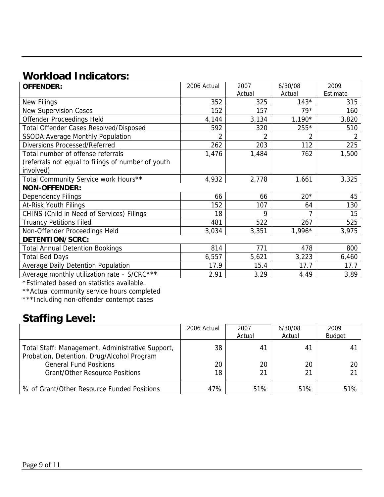# **Workload Indicators:**

| <b>OFFENDER:</b>                                   | 2006 Actual    | 2007   | 6/30/08        | 2009     |  |
|----------------------------------------------------|----------------|--------|----------------|----------|--|
|                                                    |                | Actual | Actual         | Estimate |  |
| New Filings                                        | 352            | 325    | $143*$         | 315      |  |
| <b>New Supervision Cases</b>                       | 152            | 157    | $79*$          | 160      |  |
| Offender Proceedings Held                          | 4,144          | 3,134  | $1,190*$       | 3,820    |  |
| <b>Total Offender Cases Resolved/Disposed</b>      | 592            | 320    | 255*           | 510      |  |
| <b>SSODA Average Monthly Population</b>            | $\overline{2}$ | 2      | $\overline{2}$ | 2        |  |
| <b>Diversions Processed/Referred</b>               | 262            | 203    | 112            | 225      |  |
| Total number of offense referrals                  | 1,476          | 1,484  | 762            | 1,500    |  |
| (referrals not equal to filings of number of youth |                |        |                |          |  |
| involved)                                          |                |        |                |          |  |
| Total Community Service work Hours**               | 4,932          | 2,778  | 1,661          | 3,325    |  |
| <b>NON-OFFENDER:</b>                               |                |        |                |          |  |
| Dependency Filings                                 | 66             | 66     | $20*$          | 45       |  |
| At-Risk Youth Filings                              | 152            | 107    | 64             | 130      |  |
| CHINS (Child in Need of Services) Filings          | 18             | 9      |                | 15       |  |
| <b>Truancy Petitions Filed</b>                     | 481            | 522    | 267            | 525      |  |
| Non-Offender Proceedings Held                      | 3,034          | 3,351  | $1,996*$       | 3,975    |  |
| DETENTION/SCRC:                                    |                |        |                |          |  |
| <b>Total Annual Detention Bookings</b>             | 814            | 771    | 478            | 800      |  |
| <b>Total Bed Days</b>                              | 6,557          | 5,621  | 3,223          | 6,460    |  |
| Average Daily Detention Population                 | 17.9           | 15.4   | 17.7           | 17.7     |  |
| Average monthly utilization rate - S/CRC***        | 2.91           | 3.29   | 4.49           | 3.89     |  |

\*Estimated based on statistics available.

\*\*Actual community service hours completed

\*\*\*Including non-offender contempt cases

### **Staffing Level:**

|                                                                                                | 2006 Actual | 2007   | 6/30/08 | 2009           |
|------------------------------------------------------------------------------------------------|-------------|--------|---------|----------------|
|                                                                                                |             | Actual | Actual  | <b>Budget</b>  |
| Total Staff: Management, Administrative Support,<br>Probation, Detention, Drug/Alcohol Program | 38          | 41     | 41      | 4 <sup>1</sup> |
| <b>General Fund Positions</b>                                                                  | 20          | 20     | 20      | 20             |
| <b>Grant/Other Resource Positions</b>                                                          | 18          | 21     | 21      | 21             |
| % of Grant/Other Resource Funded Positions                                                     | 47%         | 51%    | 51%     | 51%            |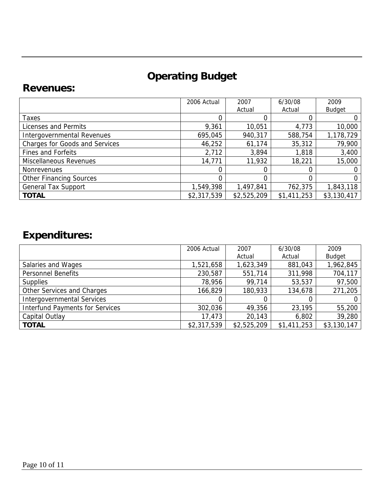# **Operating Budget**

#### **Revenues:**

|                                       | 2006 Actual | 2007        | 6/30/08     | 2009          |
|---------------------------------------|-------------|-------------|-------------|---------------|
|                                       |             | Actual      | Actual      | <b>Budget</b> |
| <b>Taxes</b>                          |             |             |             |               |
| Licenses and Permits                  | 9,361       | 10,051      | 4,773       | 10,000        |
| Intergovernmental Revenues            | 695,045     | 940,317     | 588,754     | 1,178,729     |
| <b>Charges for Goods and Services</b> | 46,252      | 61,174      | 35,312      | 79,900        |
| Fines and Forfeits                    | 2,712       | 3,894       | 1,818       | 3,400         |
| Miscellaneous Revenues                | 14,771      | 11,932      | 18,221      | 15,000        |
| <b>Nonrevenues</b>                    |             |             |             |               |
| <b>Other Financing Sources</b>        |             | 0           |             | 0             |
| <b>General Tax Support</b>            | 1,549,398   | 1,497,841   | 762,375     | 1,843,118     |
| <b>TOTAL</b>                          | \$2,317,539 | \$2,525,209 | \$1,411,253 | \$3,130,417   |

# **Expenditures:**

|                                        | 2006 Actual | 2007        | 6/30/08     | 2009          |
|----------------------------------------|-------------|-------------|-------------|---------------|
|                                        |             | Actual      | Actual      | <b>Budget</b> |
| Salaries and Wages                     | 1,521,658   | 1,623,349   | 881,043     | 1,962,845     |
| <b>Personnel Benefits</b>              | 230,587     | 551,714     | 311,998     | 704,117       |
| <b>Supplies</b>                        | 78,956      | 99,714      | 53,537      | 97,500        |
| Other Services and Charges             | 166,829     | 180,933     | 134,678     | 271,205       |
| <b>Intergovernmental Services</b>      |             | 0           |             |               |
| <b>Interfund Payments for Services</b> | 302,036     | 49,356      | 23,195      | 55,200        |
| Capital Outlay                         | 17,473      | 20,143      | 6,802       | 39,280        |
| <b>TOTAL</b>                           | \$2,317,539 | \$2,525,209 | \$1,411,253 | \$3,130,147   |